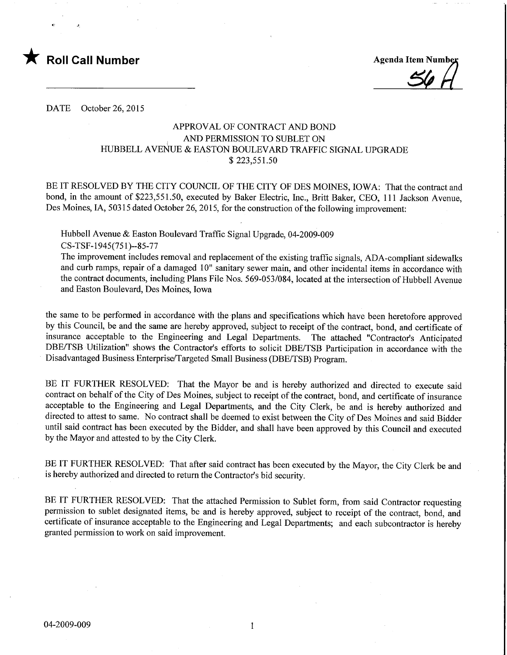

Agenda Item Number

DATE October 26, 2015

## APPROVAL OF CONTRACT AND BOND AND PERMISSION TO SUBLET ON HUBBELL AVENUE & EASTON BOULEVARD TRAFFIC SIGNAL UPGRADE \$223,551.50

BE IT RESOLVED BY THE CITY COUNCIL OF THE CITY OF DES MOINES, IOWA: That the contract and bond, in the amount of \$223,551.50, executed by Baker Electric, Inc., Britt Baker, CEO, 111 Jackson Avenue, Des Moines, IA, 50315 dated October 26, 2015, for the construction of the following improvement:

Hubbell Avenue & Easton Boulevard Traffic Signal Upgrade, 04-2009-009 CS-TSF-1945(751)-85-77

The improvement includes removal and replacement of the existing traffic signals, ADA-compliant sidewalks and curb ramps, repair of a damaged 10" sanitary sewer main, and other incidental items in accordance with the contract documents, including Plans File Nos. 569-053/084, located at the intersection of Hubbell Avenue and Easton Boulevard, Des Moines, Iowa

the same to be performed in accordance with the plans and specifications which have been heretofore approved by this Council, be and the same are hereby approved, subject to receipt of the contract, bond, and certificate of insurance acceptable to the Engineering and Legal Departments. The attached "Contractor's Anticipated DBE/TSB Utilization" shows the Contractor's efforts to solicit DBE/TSB Participation in accordance with the Disadvantaged Business Enterprise/Targeted Small Business (DBE/TSB) Program.

BE IT FURTHER RESOLVED: That the Mayor be and is hereby authorized and directed to execute said contract on behalf of the City of Des Moines, subject to receipt of the contract, bond, and certificate of insurance acceptable to the Engineering and Legal Departments, and the City Clerk, be and is hereby authorized and directed to attest to same. No contract shall be deemed to exist between the City of Des Moines and said Bidder until said contract has been executed by the Bidder, and shall have been approved by this Council and executed by the Mayor and attested to by the City Clerk.

BE IT FURTHER RESOLVED: That after said contract has been executed by the Mayor, the City Clerk be and is hereby authorized and directed to return the Contractor's bid security.

BE IT FURTHER RESOLVED: That the attached Permission to Sublet form, from said Contractor requesting permission to sublet designated items, be and is hereby approved, subject to receipt of the contract, bond, and certificate of insurance acceptable to the Engineering and Legal Departments; and each subcontractor is hereby granted permission to work on said improvement.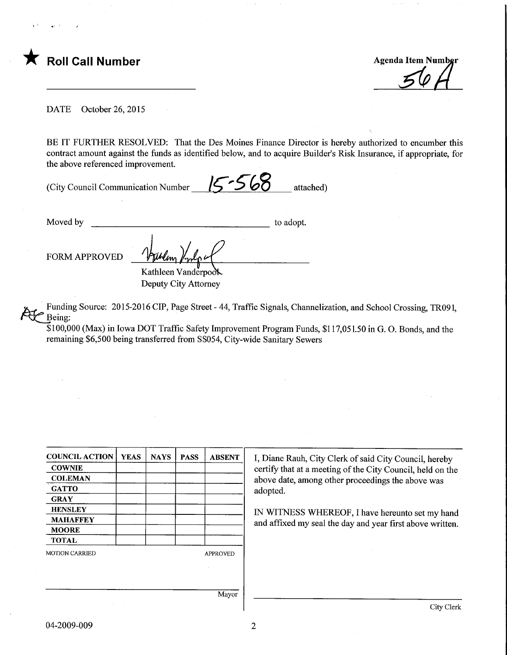

DATE October 26, 2015

BE IT FURTHER RESOLVED: That the Des Moines Finance Director is hereby authorized to encumber this contract amount against the funds as identified below, and to acquire Builder's Risk Insurance, if appropriate, for the above referenced improvement.

(City Council Communication Number  $\binom{6}{5}$   $\bigcirc$   $\bigcirc$  d attached)

Moved by to adopt. FORM APPROVED Kathleen Vanderpool

Deputy City Attorney

Funding Source: 2015-2016 CIP, Page Street - 44, Traffic Signals, Channelization, and School Crossing, TR091, Being:

\$100,000 (Max) in Iowa DOT Traffic Safety Improvement Program Funds, \$117,051.50 in G. 0. Bonds, and the remaining \$6,500 being transferred from SS054, City-wide Sanitary Sewers

| <b>YEAS</b> | <b>NAYS</b> | <b>PASS</b> | <b>ABSENT</b>   |
|-------------|-------------|-------------|-----------------|
|             |             |             |                 |
|             |             |             |                 |
|             |             |             |                 |
|             |             |             |                 |
|             |             |             |                 |
|             |             |             |                 |
|             |             |             |                 |
|             |             |             |                 |
|             |             |             | <b>APPROVED</b> |
|             |             |             |                 |
|             |             |             |                 |
|             |             |             | Mayor           |
|             |             |             |                 |

I, Diane Rauh, City Clerk of said City Council, hereby certify that at a meeting of the City Council, held on the above date, among other proceedings the above was adopted.

IN WITNESS WHEREOF, I have hereunto set my hand and affixed my seal the day and year first above written.

Mayor